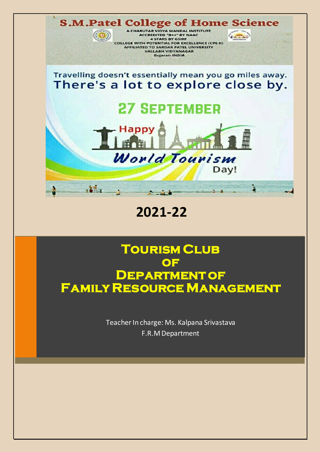

### **2021-22**

### **Tourism Club of Department of Family Resource Management**

Teacher In charge: Ms. Kalpana Srivastava F.R.M Department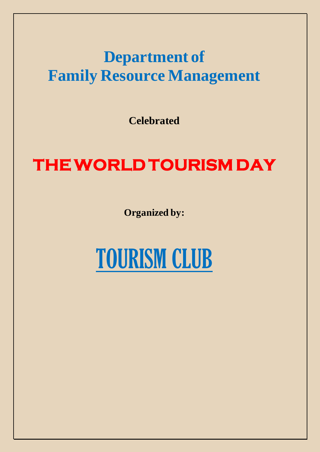## **Department of Family Resource Management**

**Celebrated** 

# **THE WORLD TOURISM DAY**

**Organized by:**

# TOURISM CLUB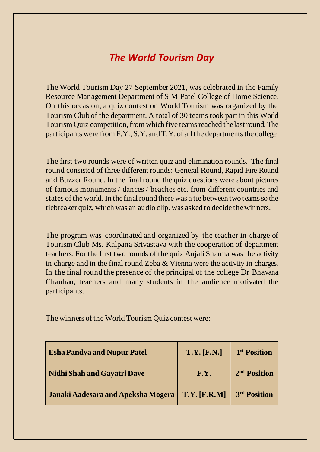### *The World Tourism Day*

The World Tourism Day 27 September 2021, was celebrated in the Family Resource Management Department of S M Patel College of Home Science. On this occasion, a quiz contest on World Tourism was organized by the Tourism Club of the department. A total of 30 teams took part in this World Tourism Quiz competition, from which five teams reached the last round. The participants were from F.Y., S.Y. and T.Y. of all the departments the college.

The first two rounds were of written quiz and elimination rounds. The final round consisted of three different rounds: General Round, Rapid Fire Round and Buzzer Round. In the final round the quiz questions were about pictures of famous monuments / dances / beaches etc. from different countries and states of the world. In the final round there was a tie between two teams so the tiebreaker quiz, which was an audio clip. was asked to decide the winners.

The program was coordinated and organized by the teacher in-charge of Tourism Club Ms. Kalpana Srivastava with the cooperation of department teachers. For the first two rounds of the quiz Anjali Sharma was the activity in charge and in the final round Zeba & Vienna were the activity in charges. In the final round the presence of the principal of the college Dr Bhavana Chauhan, teachers and many students in the audience motivated the participants.

| <b>Esha Pandya and Nupur Patel</b> | T.Y. [F.N.]    | 1 <sup>st</sup> Position |
|------------------------------------|----------------|--------------------------|
| <b>Nidhi Shah and Gayatri Dave</b> | F.Y.           | 2 <sup>nd</sup> Position |
| Janaki Aadesara and Apeksha Mogera | $T.Y.$ [F.R.M] | 3rd Position             |

The winners of the World Tourism Quiz contest were: